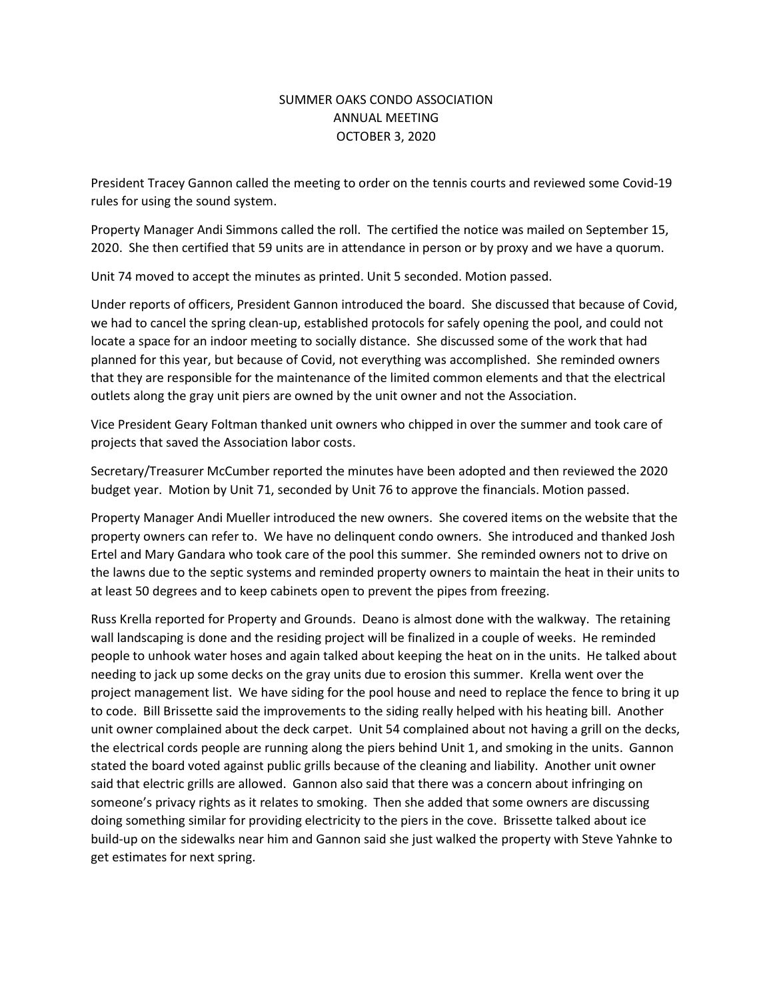## SUMMER OAKS CONDO ASSOCIATION ANNUAL MEETING OCTOBER 3, 2020

President Tracey Gannon called the meeting to order on the tennis courts and reviewed some Covid-19 rules for using the sound system.

Property Manager Andi Simmons called the roll. The certified the notice was mailed on September 15, 2020. She then certified that 59 units are in attendance in person or by proxy and we have a quorum.

Unit 74 moved to accept the minutes as printed. Unit 5 seconded. Motion passed.

Under reports of officers, President Gannon introduced the board. She discussed that because of Covid, we had to cancel the spring clean-up, established protocols for safely opening the pool, and could not locate a space for an indoor meeting to socially distance. She discussed some of the work that had planned for this year, but because of Covid, not everything was accomplished. She reminded owners that they are responsible for the maintenance of the limited common elements and that the electrical outlets along the gray unit piers are owned by the unit owner and not the Association.

Vice President Geary Foltman thanked unit owners who chipped in over the summer and took care of projects that saved the Association labor costs.

Secretary/Treasurer McCumber reported the minutes have been adopted and then reviewed the 2020 budget year. Motion by Unit 71, seconded by Unit 76 to approve the financials. Motion passed.

Property Manager Andi Mueller introduced the new owners. She covered items on the website that the property owners can refer to. We have no delinquent condo owners. She introduced and thanked Josh Ertel and Mary Gandara who took care of the pool this summer. She reminded owners not to drive on the lawns due to the septic systems and reminded property owners to maintain the heat in their units to at least 50 degrees and to keep cabinets open to prevent the pipes from freezing.

Russ Krella reported for Property and Grounds. Deano is almost done with the walkway. The retaining wall landscaping is done and the residing project will be finalized in a couple of weeks. He reminded people to unhook water hoses and again talked about keeping the heat on in the units. He talked about needing to jack up some decks on the gray units due to erosion this summer. Krella went over the project management list. We have siding for the pool house and need to replace the fence to bring it up to code. Bill Brissette said the improvements to the siding really helped with his heating bill. Another unit owner complained about the deck carpet. Unit 54 complained about not having a grill on the decks, the electrical cords people are running along the piers behind Unit 1, and smoking in the units. Gannon stated the board voted against public grills because of the cleaning and liability. Another unit owner said that electric grills are allowed. Gannon also said that there was a concern about infringing on someone's privacy rights as it relates to smoking. Then she added that some owners are discussing doing something similar for providing electricity to the piers in the cove. Brissette talked about ice build-up on the sidewalks near him and Gannon said she just walked the property with Steve Yahnke to get estimates for next spring.